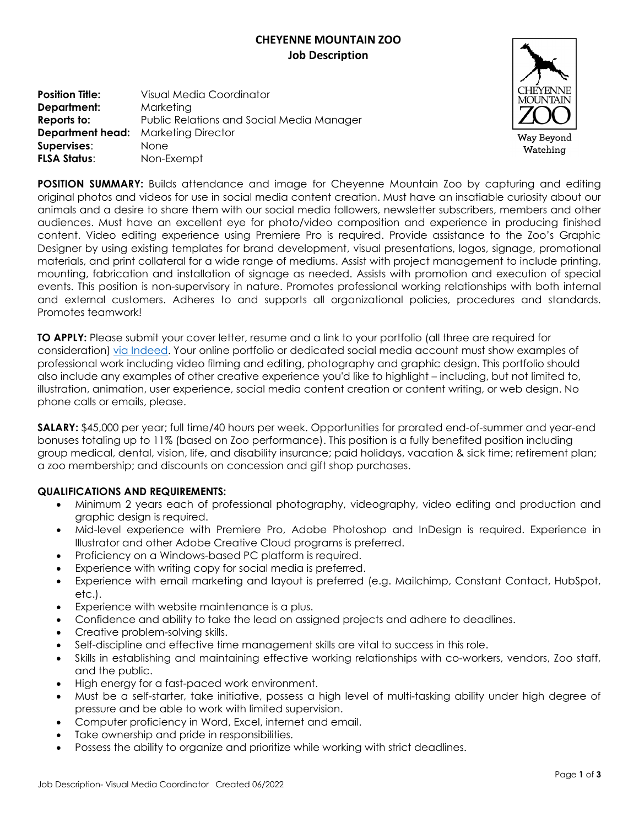# **CHEYENNE MOUNTAIN ZOO Job Description**

**Position Title:** Visual Media Coordinator **Department:** Marketing **Reports to:** Public Relations and Social Media Manager **Department head:** Marketing Director **Supervises**: None **FLSA Status**: Non-Exempt



**POSITION SUMMARY:** Builds attendance and image for Cheyenne Mountain Zoo by capturing and editing original photos and videos for use in social media content creation. Must have an insatiable curiosity about our animals and a desire to share them with our social media followers, newsletter subscribers, members and other audiences. Must have an excellent eye for photo/video composition and experience in producing finished content. Video editing experience using Premiere Pro is required. Provide assistance to the Zoo's Graphic Designer by using existing templates for brand development, visual presentations, logos, signage, promotional materials, and print collateral for a wide range of mediums. Assist with project management to include printing, mounting, fabrication and installation of signage as needed. Assists with promotion and execution of special events. This position is non-supervisory in nature. Promotes professional working relationships with both internal and external customers. Adheres to and supports all organizational policies, procedures and standards. Promotes teamwork!

**TO APPLY:** Please submit your cover letter, resume and a link to your portfolio (all three are required for consideration) [via Indeed.](https://www.indeed.com/viewjob?t=visual+media+coordinator&jk=172f85f509a72e24&_ga=2.191494895.459344728.1654722848-15097624.1652368936) Your online portfolio or dedicated social media account must show examples of professional work including video filming and editing, photography and graphic design. This portfolio should also include any examples of other creative experience you'd like to highlight – including, but not limited to, illustration, animation, user experience, social media content creation or content writing, or web design. No phone calls or emails, please.

**SALARY:** \$45,000 per year; full time/40 hours per week. Opportunities for prorated end-of-summer and year-end bonuses totaling up to 11% (based on Zoo performance). This position is a fully benefited position including group medical, dental, vision, life, and disability insurance; paid holidays, vacation & sick time; retirement plan; a zoo membership; and discounts on concession and gift shop purchases.

## **QUALIFICATIONS AND REQUIREMENTS:**

- Minimum 2 years each of professional photography, videography, video editing and production and graphic design is required.
- Mid-level experience with Premiere Pro, Adobe Photoshop and InDesign is required. Experience in Illustrator and other Adobe Creative Cloud programs is preferred.
- Proficiency on a Windows-based PC platform is required.
- Experience with writing copy for social media is preferred.
- Experience with email marketing and layout is preferred (e.g. Mailchimp, Constant Contact, HubSpot, etc.).
- Experience with website maintenance is a plus.
- Confidence and ability to take the lead on assigned projects and adhere to deadlines.
- Creative problem-solving skills.
- Self-discipline and effective time management skills are vital to success in this role.
- Skills in establishing and maintaining effective working relationships with co-workers, vendors, Zoo staff, and the public.
- High energy for a fast-paced work environment.
- Must be a self-starter, take initiative, possess a high level of multi-tasking ability under high degree of pressure and be able to work with limited supervision.
- Computer proficiency in Word, Excel, internet and email.
- Take ownership and pride in responsibilities.
- Possess the ability to organize and prioritize while working with strict deadlines.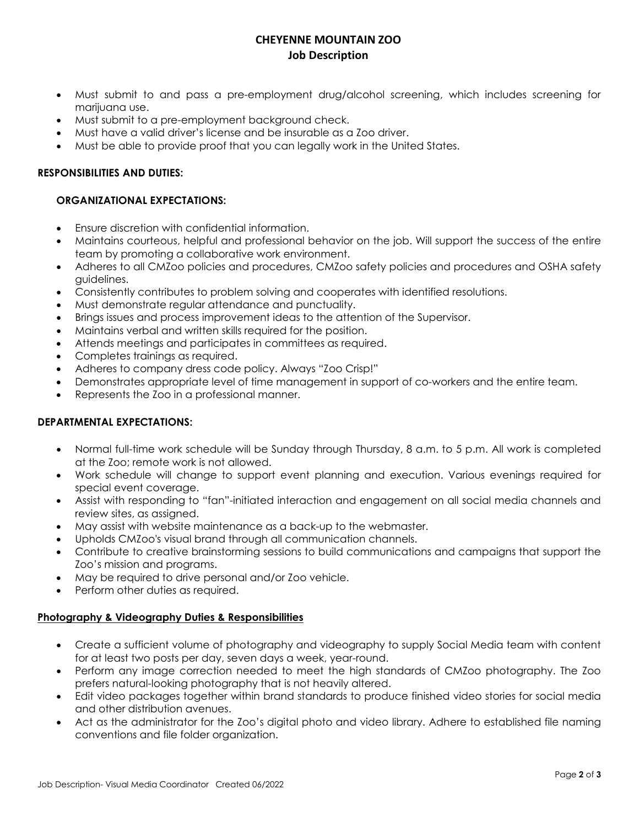## **CHEYENNE MOUNTAIN ZOO Job Description**

- Must submit to and pass a pre-employment drug/alcohol screening, which includes screening for marijuana use.
- Must submit to a pre-employment background check.
- Must have a valid driver's license and be insurable as a Zoo driver.
- Must be able to provide proof that you can legally work in the United States.

#### **RESPONSIBILITIES AND DUTIES:**

### **ORGANIZATIONAL EXPECTATIONS:**

- Ensure discretion with confidential information.
- Maintains courteous, helpful and professional behavior on the job. Will support the success of the entire team by promoting a collaborative work environment.
- Adheres to all CMZoo policies and procedures, CMZoo safety policies and procedures and OSHA safety guidelines.
- Consistently contributes to problem solving and cooperates with identified resolutions.
- Must demonstrate regular attendance and punctuality.
- Brings issues and process improvement ideas to the attention of the Supervisor.
- Maintains verbal and written skills required for the position.
- Attends meetings and participates in committees as required.
- Completes trainings as required.
- Adheres to company dress code policy. Always "Zoo Crisp!"
- Demonstrates appropriate level of time management in support of co-workers and the entire team.
- Represents the Zoo in a professional manner.

#### **DEPARTMENTAL EXPECTATIONS:**

- Normal full-time work schedule will be Sunday through Thursday, 8 a.m. to 5 p.m. All work is completed at the Zoo; remote work is not allowed.
- Work schedule will change to support event planning and execution. Various evenings required for special event coverage.
- Assist with responding to "fan"-initiated interaction and engagement on all social media channels and review sites, as assigned.
- May assist with website maintenance as a back-up to the webmaster.
- Upholds CMZoo's visual brand through all communication channels.
- Contribute to creative brainstorming sessions to build communications and campaigns that support the Zoo's mission and programs.
- May be required to drive personal and/or Zoo vehicle.
- Perform other duties as required.

#### **Photography & Videography Duties & Responsibilities**

- Create a sufficient volume of photography and videography to supply Social Media team with content for at least two posts per day, seven days a week, year-round.
- Perform any image correction needed to meet the high standards of CMZoo photography. The Zoo prefers natural-looking photography that is not heavily altered.
- Edit video packages together within brand standards to produce finished video stories for social media and other distribution avenues.
- Act as the administrator for the Zoo's digital photo and video library. Adhere to established file naming conventions and file folder organization.